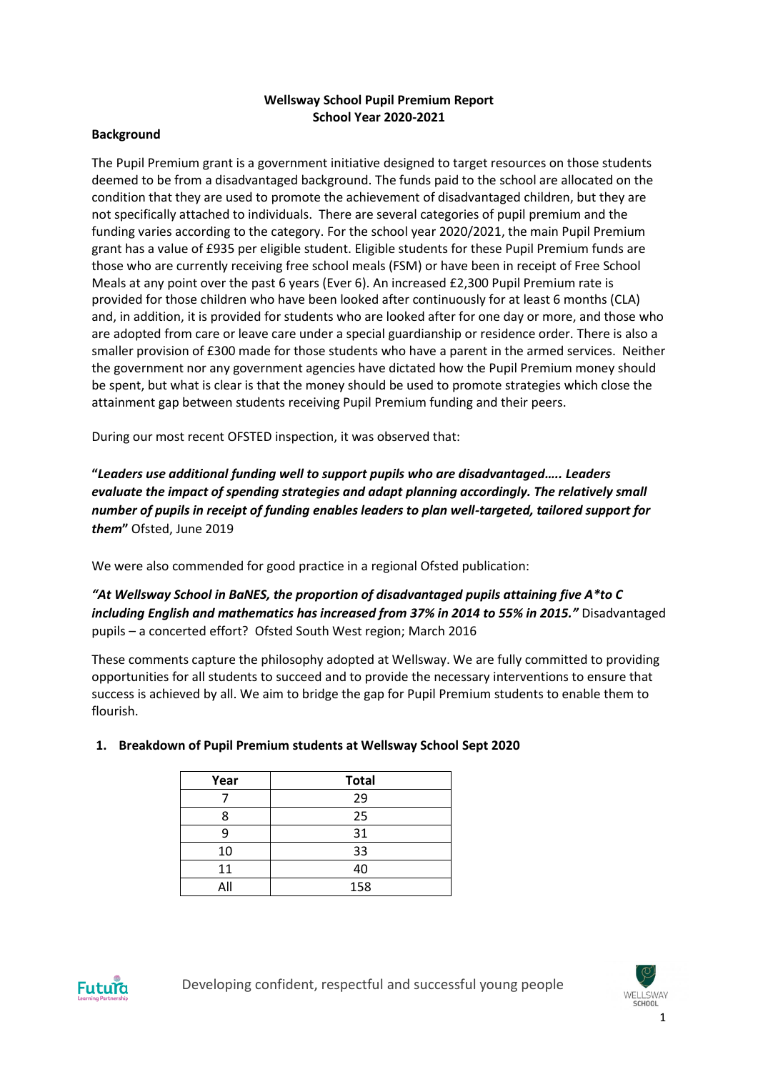## **Wellsway School Pupil Premium Report School Year 2020-2021**

### **Background**

The Pupil Premium grant is a government initiative designed to target resources on those students deemed to be from a disadvantaged background. The funds paid to the school are allocated on the condition that they are used to promote the achievement of disadvantaged children, but they are not specifically attached to individuals. There are several categories of pupil premium and the funding varies according to the category. For the school year 2020/2021, the main Pupil Premium grant has a value of £935 per eligible student. Eligible students for these Pupil Premium funds are those who are currently receiving free school meals (FSM) or have been in receipt of Free School Meals at any point over the past 6 years (Ever 6). An increased £2,300 Pupil Premium rate is provided for those children who have been looked after continuously for at least 6 months (CLA) and, in addition, it is provided for students who are looked after for one day or more, and those who are adopted from care or leave care under a special guardianship or residence order. There is also a smaller provision of £300 made for those students who have a parent in the armed services. Neither the government nor any government agencies have dictated how the Pupil Premium money should be spent, but what is clear is that the money should be used to promote strategies which close the attainment gap between students receiving Pupil Premium funding and their peers.

During our most recent OFSTED inspection, it was observed that:

**"***Leaders use additional funding well to support pupils who are disadvantaged….. Leaders evaluate the impact of spending strategies and adapt planning accordingly. The relatively small number of pupils in receipt of funding enables leaders to plan well-targeted, tailored support for them***"** Ofsted, June 2019

We were also commended for good practice in a regional Ofsted publication:

*"At Wellsway School in BaNES, the proportion of disadvantaged pupils attaining five A\*to C including English and mathematics has increased from 37% in 2014 to 55% in 2015."* Disadvantaged pupils – a concerted effort? Ofsted South West region; March 2016

These comments capture the philosophy adopted at Wellsway. We are fully committed to providing opportunities for all students to succeed and to provide the necessary interventions to ensure that success is achieved by all. We aim to bridge the gap for Pupil Premium students to enable them to flourish.

| Year | <b>Total</b> |
|------|--------------|
|      | 29           |
| 8    | 25           |
| 9    | 31           |
| 10   | 33           |
| 11   | 40           |
| All  | 158          |

## **1. Breakdown of Pupil Premium students at Wellsway School Sept 2020**



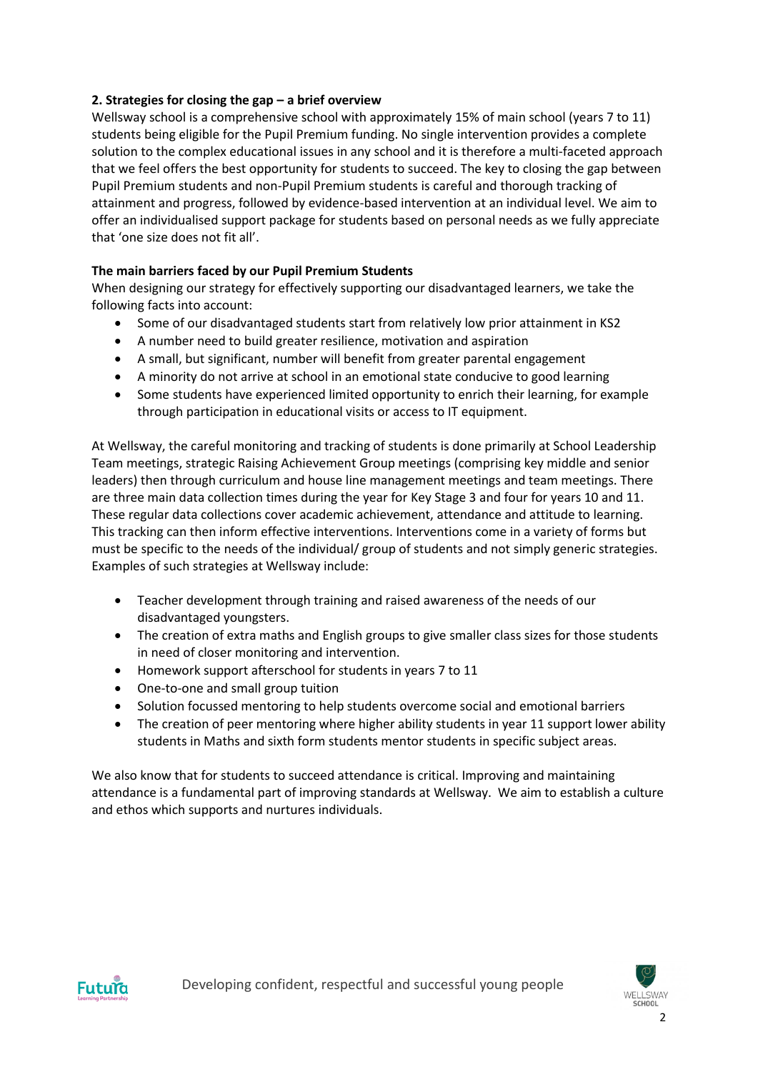## **2. Strategies for closing the gap – a brief overview**

Wellsway school is a comprehensive school with approximately 15% of main school (years 7 to 11) students being eligible for the Pupil Premium funding. No single intervention provides a complete solution to the complex educational issues in any school and it is therefore a multi-faceted approach that we feel offers the best opportunity for students to succeed. The key to closing the gap between Pupil Premium students and non-Pupil Premium students is careful and thorough tracking of attainment and progress, followed by evidence-based intervention at an individual level. We aim to offer an individualised support package for students based on personal needs as we fully appreciate that 'one size does not fit all'.

## **The main barriers faced by our Pupil Premium Students**

When designing our strategy for effectively supporting our disadvantaged learners, we take the following facts into account:

- Some of our disadvantaged students start from relatively low prior attainment in KS2
- A number need to build greater resilience, motivation and aspiration
- A small, but significant, number will benefit from greater parental engagement
- A minority do not arrive at school in an emotional state conducive to good learning
- Some students have experienced limited opportunity to enrich their learning, for example through participation in educational visits or access to IT equipment.

At Wellsway, the careful monitoring and tracking of students is done primarily at School Leadership Team meetings, strategic Raising Achievement Group meetings (comprising key middle and senior leaders) then through curriculum and house line management meetings and team meetings. There are three main data collection times during the year for Key Stage 3 and four for years 10 and 11. These regular data collections cover academic achievement, attendance and attitude to learning. This tracking can then inform effective interventions. Interventions come in a variety of forms but must be specific to the needs of the individual/ group of students and not simply generic strategies. Examples of such strategies at Wellsway include:

- Teacher development through training and raised awareness of the needs of our disadvantaged youngsters.
- The creation of extra maths and English groups to give smaller class sizes for those students in need of closer monitoring and intervention.
- Homework support afterschool for students in years 7 to 11
- One-to-one and small group tuition
- Solution focussed mentoring to help students overcome social and emotional barriers
- The creation of peer mentoring where higher ability students in year 11 support lower ability students in Maths and sixth form students mentor students in specific subject areas.

We also know that for students to succeed attendance is critical. Improving and maintaining attendance is a fundamental part of improving standards at Wellsway. We aim to establish a culture and ethos which supports and nurtures individuals.



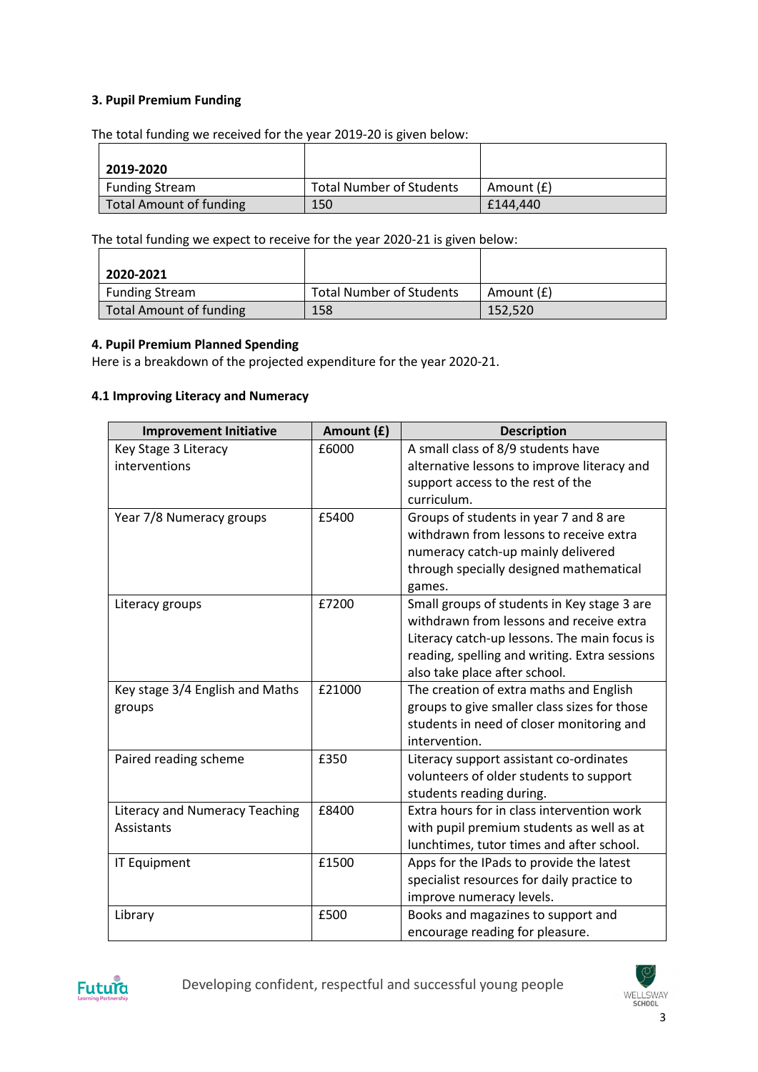## **3. Pupil Premium Funding**

The total funding we received for the year 2019-20 is given below:

| 2019-2020               |                                 |            |
|-------------------------|---------------------------------|------------|
| <b>Funding Stream</b>   | <b>Total Number of Students</b> | Amount (£) |
| Total Amount of funding | 150                             | £144.440   |

The total funding we expect to receive for the year 2020-21 is given below:

| 2020-2021                      |                                 |            |
|--------------------------------|---------------------------------|------------|
| <b>Funding Stream</b>          | <b>Total Number of Students</b> | Amount (£) |
| <b>Total Amount of funding</b> | 158                             | 152.520    |

#### **4. Pupil Premium Planned Spending**

Here is a breakdown of the projected expenditure for the year 2020-21.

#### **4.1 Improving Literacy and Numeracy**

| <b>Improvement Initiative</b>         | Amount (£) | <b>Description</b>                            |
|---------------------------------------|------------|-----------------------------------------------|
| Key Stage 3 Literacy                  | £6000      | A small class of 8/9 students have            |
| interventions                         |            | alternative lessons to improve literacy and   |
|                                       |            | support access to the rest of the             |
|                                       |            | curriculum.                                   |
| Year 7/8 Numeracy groups              | £5400      | Groups of students in year 7 and 8 are        |
|                                       |            | withdrawn from lessons to receive extra       |
|                                       |            | numeracy catch-up mainly delivered            |
|                                       |            | through specially designed mathematical       |
|                                       |            | games.                                        |
| Literacy groups                       | £7200      | Small groups of students in Key stage 3 are   |
|                                       |            | withdrawn from lessons and receive extra      |
|                                       |            | Literacy catch-up lessons. The main focus is  |
|                                       |            | reading, spelling and writing. Extra sessions |
|                                       |            | also take place after school.                 |
| Key stage 3/4 English and Maths       | £21000     | The creation of extra maths and English       |
| groups                                |            | groups to give smaller class sizes for those  |
|                                       |            | students in need of closer monitoring and     |
|                                       |            | intervention.                                 |
| Paired reading scheme                 | £350       | Literacy support assistant co-ordinates       |
|                                       |            | volunteers of older students to support       |
|                                       |            | students reading during.                      |
| <b>Literacy and Numeracy Teaching</b> | £8400      | Extra hours for in class intervention work    |
| Assistants                            |            | with pupil premium students as well as at     |
|                                       |            | lunchtimes, tutor times and after school.     |
| <b>IT Equipment</b>                   | £1500      | Apps for the IPads to provide the latest      |
|                                       |            | specialist resources for daily practice to    |
|                                       |            | improve numeracy levels.                      |
| Library                               | £500       | Books and magazines to support and            |
|                                       |            | encourage reading for pleasure.               |



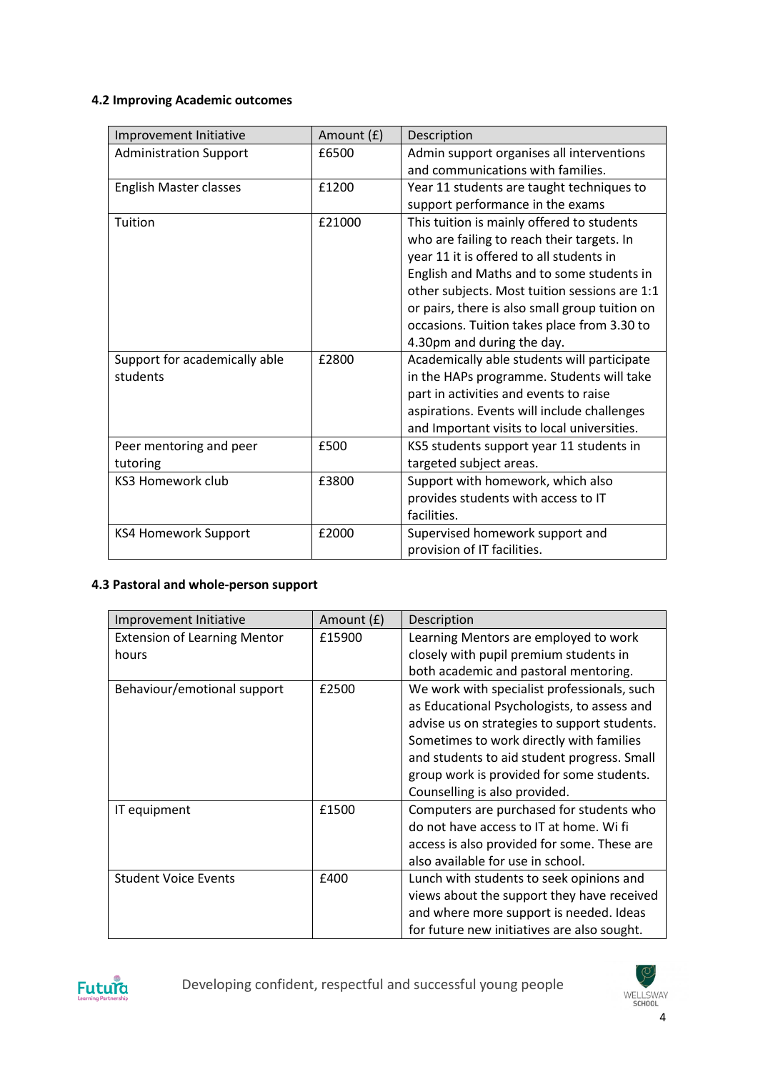# **4.2 Improving Academic outcomes**

| Improvement Initiative        | Amount (£) | Description                                    |
|-------------------------------|------------|------------------------------------------------|
| <b>Administration Support</b> | £6500      | Admin support organises all interventions      |
|                               |            | and communications with families.              |
| <b>English Master classes</b> | £1200      | Year 11 students are taught techniques to      |
|                               |            | support performance in the exams               |
| Tuition                       | £21000     | This tuition is mainly offered to students     |
|                               |            | who are failing to reach their targets. In     |
|                               |            | year 11 it is offered to all students in       |
|                               |            | English and Maths and to some students in      |
|                               |            | other subjects. Most tuition sessions are 1:1  |
|                               |            | or pairs, there is also small group tuition on |
|                               |            | occasions. Tuition takes place from 3.30 to    |
|                               |            | 4.30pm and during the day.                     |
| Support for academically able | £2800      | Academically able students will participate    |
| students                      |            | in the HAPs programme. Students will take      |
|                               |            | part in activities and events to raise         |
|                               |            | aspirations. Events will include challenges    |
|                               |            | and Important visits to local universities.    |
| Peer mentoring and peer       | £500       | KS5 students support year 11 students in       |
| tutoring                      |            | targeted subject areas.                        |
| <b>KS3 Homework club</b>      | £3800      | Support with homework, which also              |
|                               |            | provides students with access to IT            |
|                               |            | facilities.                                    |
| <b>KS4 Homework Support</b>   | £2000      | Supervised homework support and                |
|                               |            | provision of IT facilities.                    |

## **4.3 Pastoral and whole-person support**

| Improvement Initiative              | Amount (£) | Description                                  |
|-------------------------------------|------------|----------------------------------------------|
| <b>Extension of Learning Mentor</b> | £15900     | Learning Mentors are employed to work        |
| hours                               |            | closely with pupil premium students in       |
|                                     |            | both academic and pastoral mentoring.        |
| Behaviour/emotional support         | £2500      | We work with specialist professionals, such  |
|                                     |            | as Educational Psychologists, to assess and  |
|                                     |            | advise us on strategies to support students. |
|                                     |            | Sometimes to work directly with families     |
|                                     |            | and students to aid student progress. Small  |
|                                     |            | group work is provided for some students.    |
|                                     |            | Counselling is also provided.                |
| IT equipment                        | £1500      | Computers are purchased for students who     |
|                                     |            | do not have access to IT at home. Wi fi      |
|                                     |            | access is also provided for some. These are  |
|                                     |            | also available for use in school.            |
| <b>Student Voice Events</b>         | £400       | Lunch with students to seek opinions and     |
|                                     |            | views about the support they have received   |
|                                     |            | and where more support is needed. Ideas      |
|                                     |            | for future new initiatives are also sought.  |



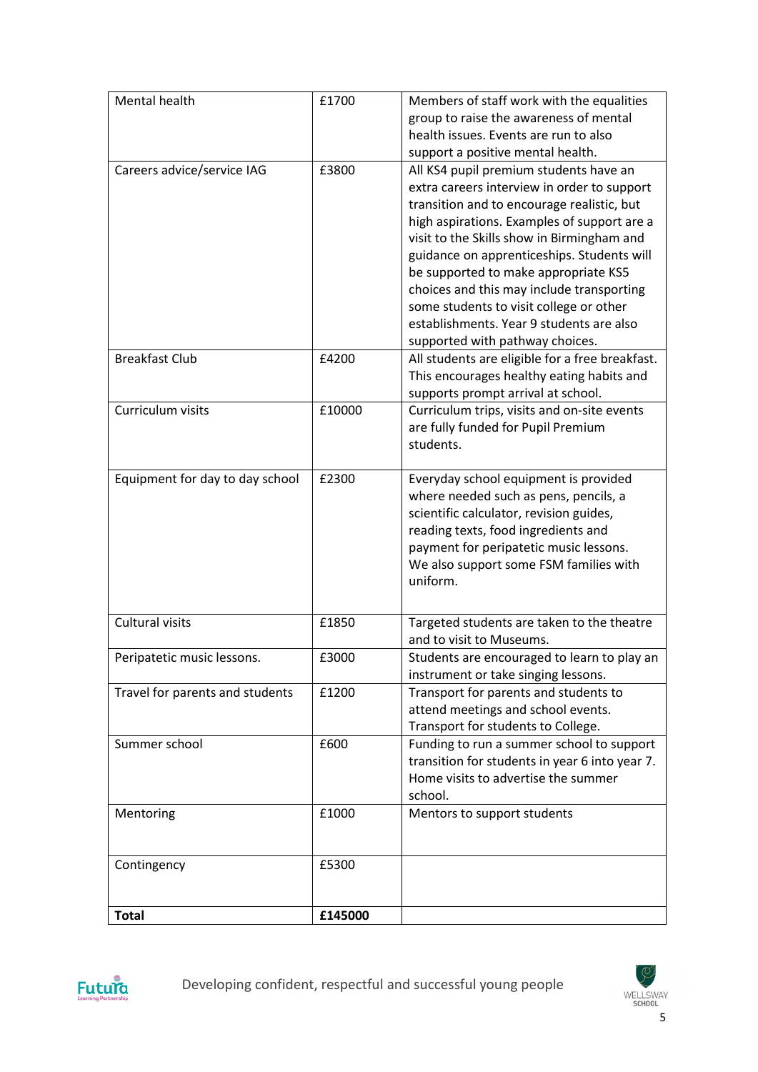| Mental health                   | £1700   | Members of staff work with the equalities       |
|---------------------------------|---------|-------------------------------------------------|
|                                 |         | group to raise the awareness of mental          |
|                                 |         | health issues. Events are run to also           |
|                                 |         | support a positive mental health.               |
| Careers advice/service IAG      | £3800   | All KS4 pupil premium students have an          |
|                                 |         | extra careers interview in order to support     |
|                                 |         | transition and to encourage realistic, but      |
|                                 |         | high aspirations. Examples of support are a     |
|                                 |         | visit to the Skills show in Birmingham and      |
|                                 |         | guidance on apprenticeships. Students will      |
|                                 |         | be supported to make appropriate KS5            |
|                                 |         | choices and this may include transporting       |
|                                 |         | some students to visit college or other         |
|                                 |         | establishments. Year 9 students are also        |
|                                 |         | supported with pathway choices.                 |
| <b>Breakfast Club</b>           | £4200   | All students are eligible for a free breakfast. |
|                                 |         | This encourages healthy eating habits and       |
|                                 |         | supports prompt arrival at school.              |
| Curriculum visits               | £10000  | Curriculum trips, visits and on-site events     |
|                                 |         | are fully funded for Pupil Premium              |
|                                 |         | students.                                       |
|                                 |         |                                                 |
| Equipment for day to day school | £2300   | Everyday school equipment is provided           |
|                                 |         | where needed such as pens, pencils, a           |
|                                 |         | scientific calculator, revision guides,         |
|                                 |         | reading texts, food ingredients and             |
|                                 |         | payment for peripatetic music lessons.          |
|                                 |         | We also support some FSM families with          |
|                                 |         | uniform.                                        |
|                                 |         |                                                 |
| Cultural visits                 | £1850   | Targeted students are taken to the theatre      |
|                                 |         | and to visit to Museums.                        |
|                                 |         |                                                 |
| Peripatetic music lessons.      | £3000   | Students are encouraged to learn to play an     |
|                                 |         | instrument or take singing lessons.             |
| Travel for parents and students | £1200   | Transport for parents and students to           |
|                                 |         | attend meetings and school events.              |
|                                 |         | Transport for students to College.              |
| Summer school                   | £600    | Funding to run a summer school to support       |
|                                 |         | transition for students in year 6 into year 7.  |
|                                 |         | Home visits to advertise the summer             |
|                                 |         | school.                                         |
| Mentoring                       | £1000   | Mentors to support students                     |
|                                 |         |                                                 |
|                                 |         |                                                 |
| Contingency                     | £5300   |                                                 |
|                                 |         |                                                 |
|                                 | £145000 |                                                 |
| <b>Total</b>                    |         |                                                 |